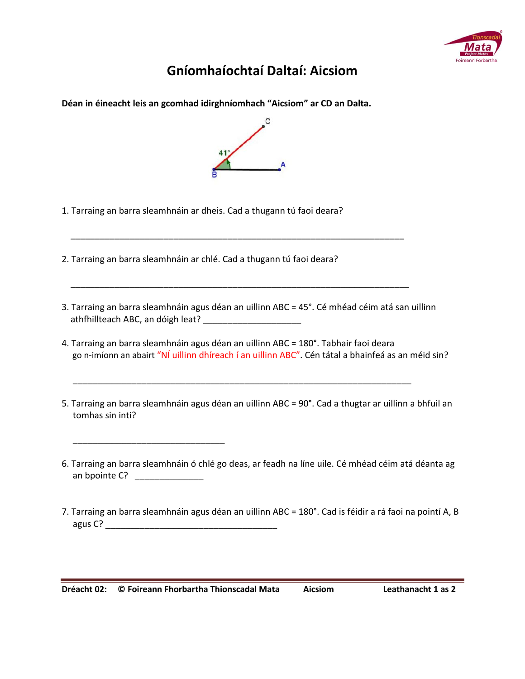

## **Gníomhaíochtaí Daltaí: Aicsiom**

**Déan in éineacht leis an gcomhad idirghníomhach "Aicsiom" ar CD an Dalta.**



- 1. Tarraing an barra sleamhnáin ar dheis. Cad a thugann tú faoi deara?
- 2. Tarraing an barra sleamhnáin ar chlé. Cad a thugann tú faoi deara?
- 3. Tarraing an barra sleamhnáin agus déan an uillinn ABC = 45°. Cé mhéad céim atá san uillinn athfhillteach ABC, an dóigh leat? \_\_\_\_\_\_\_\_\_\_\_\_\_\_\_\_\_\_\_\_

\_\_\_\_\_\_\_\_\_\_\_\_\_\_\_\_\_\_\_\_\_\_\_\_\_\_\_\_\_\_\_\_\_\_\_\_\_\_\_\_\_\_\_\_\_\_\_\_\_\_\_\_\_\_\_\_\_\_\_\_\_\_\_\_\_\_\_\_

\_\_\_\_\_\_\_\_\_\_\_\_\_\_\_\_\_\_\_\_\_\_\_\_\_\_\_\_\_\_\_\_\_\_\_\_\_\_\_\_\_\_\_\_\_\_\_\_\_\_\_\_\_\_\_\_\_\_\_\_\_\_\_\_\_\_\_\_\_

\_\_\_\_\_\_\_\_\_\_\_\_\_\_\_\_\_\_\_\_\_\_\_\_\_\_\_\_\_\_\_\_\_\_\_\_\_\_\_\_\_\_\_\_\_\_\_\_\_\_\_\_\_\_\_\_\_\_\_\_\_\_\_\_\_\_\_\_\_

- 4. Tarraing an barra sleamhnáin agus déan an uillinn ABC = 180°. Tabhair faoi deara go n-imíonn an abairt "NÍ uillinn dhíreach í an uillinn ABC". Cén tátal a bhainfeá as an méid sin?
- 5. Tarraing an barra sleamhnáin agus déan an uillinn ABC = 90°. Cad a thugtar ar uillinn a bhfuil an tomhas sin inti?
- 6. Tarraing an barra sleamhnáin ó chlé go deas, ar feadh na líne uile. Cé mhéad céim atá déanta ag an bpointe C? \_\_\_\_\_\_\_\_\_\_\_\_\_\_\_\_
- 7. Tarraing an barra sleamhnáin agus déan an uillinn ABC = 180°. Cad is féidir a rá faoi na pointí A, B  $a$ gus  $C$ ?

\_\_\_\_\_\_\_\_\_\_\_\_\_\_\_\_\_\_\_\_\_\_\_\_\_\_\_\_\_\_\_